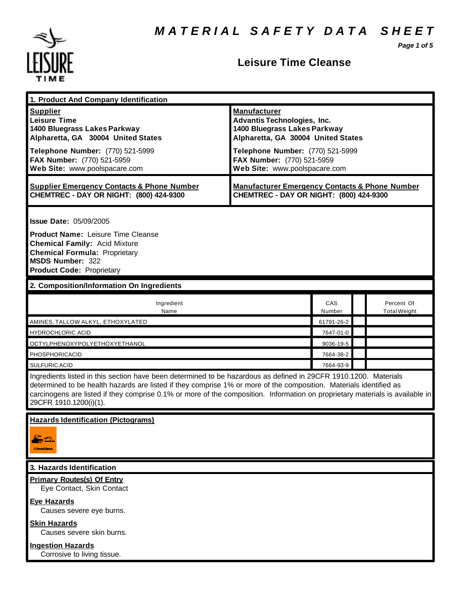*Page 1 of 5*



# **Leisure Time Cleanse**

| 1. Product And Company Identification                                                                                                                                                                                                                                                                                                                                                                                     |                                                                                                                                                                                                                                    |                        |  |                            |  |
|---------------------------------------------------------------------------------------------------------------------------------------------------------------------------------------------------------------------------------------------------------------------------------------------------------------------------------------------------------------------------------------------------------------------------|------------------------------------------------------------------------------------------------------------------------------------------------------------------------------------------------------------------------------------|------------------------|--|----------------------------|--|
| <b>Supplier</b><br><b>Leisure Time</b><br>1400 Bluegrass Lakes Parkway<br>Alpharetta, GA 30004 United States<br>Telephone Number: (770) 521-5999<br>FAX Number: (770) 521-5959<br>Web Site: www.poolspacare.com                                                                                                                                                                                                           | <b>Manufacturer</b><br><b>Advantis Technologies, Inc.</b><br>1400 Bluegrass Lakes Parkway<br>Alpharetta, GA 30004 United States<br>Telephone Number: (770) 521-5999<br>FAX Number: (770) 521-5959<br>Web Site: www.poolspacare.com |                        |  |                            |  |
| <b>Supplier Emergency Contacts &amp; Phone Number</b><br>CHEMTREC - DAY OR NIGHT: (800) 424-9300                                                                                                                                                                                                                                                                                                                          | <b>Manufacturer Emergency Contacts &amp; Phone Number</b><br>CHEMTREC - DAY OR NIGHT: (800) 424-9300                                                                                                                               |                        |  |                            |  |
| <b>Issue Date: 05/09/2005</b><br><b>Product Name: Leisure Time Cleanse</b><br><b>Chemical Family: Acid Mixture</b><br><b>Chemical Formula: Proprietary</b><br><b>MSDS Number: 322</b><br><b>Product Code: Proprietary</b>                                                                                                                                                                                                 |                                                                                                                                                                                                                                    |                        |  |                            |  |
| 2. Composition/Information On Ingredients                                                                                                                                                                                                                                                                                                                                                                                 |                                                                                                                                                                                                                                    |                        |  |                            |  |
| Ingredient<br>Name                                                                                                                                                                                                                                                                                                                                                                                                        |                                                                                                                                                                                                                                    | <b>CAS</b><br>Number   |  | Percent Of<br>Total Weight |  |
| AMINES, TALLOW ALKYL, ETHOXYLATED                                                                                                                                                                                                                                                                                                                                                                                         |                                                                                                                                                                                                                                    | 61791-26-2             |  |                            |  |
| <b>HYDROCHLORIC ACID</b>                                                                                                                                                                                                                                                                                                                                                                                                  |                                                                                                                                                                                                                                    | 7647-01-0              |  |                            |  |
| OCTYLPHENOXYPOLYETHOXYETHANOL                                                                                                                                                                                                                                                                                                                                                                                             |                                                                                                                                                                                                                                    | 9036-19-5              |  |                            |  |
| PHOSPHORICACID                                                                                                                                                                                                                                                                                                                                                                                                            |                                                                                                                                                                                                                                    | 7664-38-2<br>7664-93-9 |  |                            |  |
| <b>SULFURIC ACID</b><br>Ingredients listed in this section have been determined to be hazardous as defined in 29CFR 1910.1200. Materials<br>determined to be health hazards are listed if they comprise 1% or more of the composition. Materials identified as<br>carcinogens are listed if they comprise 0.1% or more of the composition. Information on proprietary materials is available in<br>29CFR 1910.1200(i)(1). |                                                                                                                                                                                                                                    |                        |  |                            |  |
| <b>Hazards Identification (Pictograms)</b>                                                                                                                                                                                                                                                                                                                                                                                |                                                                                                                                                                                                                                    |                        |  |                            |  |
| 3. Hazards Identification                                                                                                                                                                                                                                                                                                                                                                                                 |                                                                                                                                                                                                                                    |                        |  |                            |  |
| <b>Primary Routes(s) Of Entry</b><br>Eye Contact, Skin Contact<br><b>Eye Hazards</b>                                                                                                                                                                                                                                                                                                                                      |                                                                                                                                                                                                                                    |                        |  |                            |  |
| Causes severe eye burns.<br><b>Skin Hazards</b><br>Causes severe skin burns.<br><b>Ingestion Hazards</b>                                                                                                                                                                                                                                                                                                                  |                                                                                                                                                                                                                                    |                        |  |                            |  |

Corrosive to living tissue.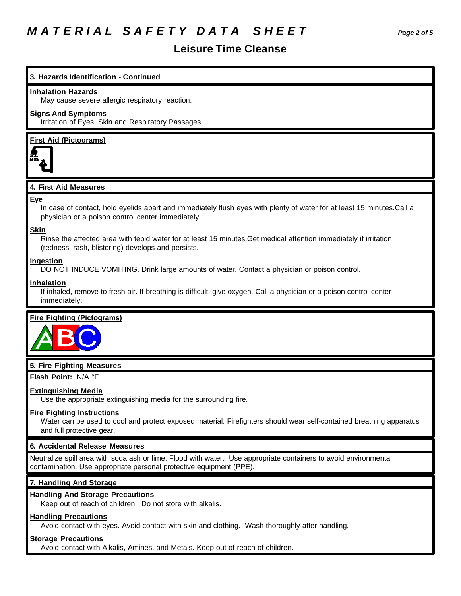# *M A T E R I A L S A F E T Y D A T A S H E E T Page 2 of 5*

# **Leisure Time Cleanse**

# **3. Hazards Identification - Continued**

#### **Inhalation Hazards**

May cause severe allergic respiratory reaction.

# **Signs And Symptoms**

Irritation of Eyes, Skin and Respiratory Passages

# **First Aid (Pictograms)**



# **4. First Aid Measures**

#### **Eye**

In case of contact, hold eyelids apart and immediately flush eyes with plenty of water for at least 15 minutes.Call a physician or a poison control center immediately.

#### **Skin**

Rinse the affected area with tepid water for at least 15 minutes.Get medical attention immediately if irritation (redness, rash, blistering) develops and persists.

#### **Ingestion**

DO NOT INDUCE VOMITING. Drink large amounts of water. Contact a physician or poison control.

#### **Inhalation**

If inhaled, remove to fresh air. If breathing is difficult, give oxygen. Call a physician or a poison control center immediately.

### **Fire Fighting (Pictograms)**



### **5. Fire Fighting Measures**

**Flash Point:** N/A °F

### **Extinguishing Media**

Use the appropriate extinguishing media for the surrounding fire.

### **Fire Fighting Instructions**

Water can be used to cool and protect exposed material. Firefighters should wear self-contained breathing apparatus and full protective gear.

# **6. Accidental Release Measures**

Neutralize spill area with soda ash or lime. Flood with water. Use appropriate containers to avoid environmental contamination. Use appropriate personal protective equipment (PPE).

### **7. Handling And Storage**

### **Handling And Storage Precautions**

Keep out of reach of children. Do not store with alkalis.

# **Handling Precautions**

Avoid contact with eyes. Avoid contact with skin and clothing. Wash thoroughly after handling.

# **Storage Precautions**

Avoid contact with Alkalis, Amines, and Metals. Keep out of reach of children.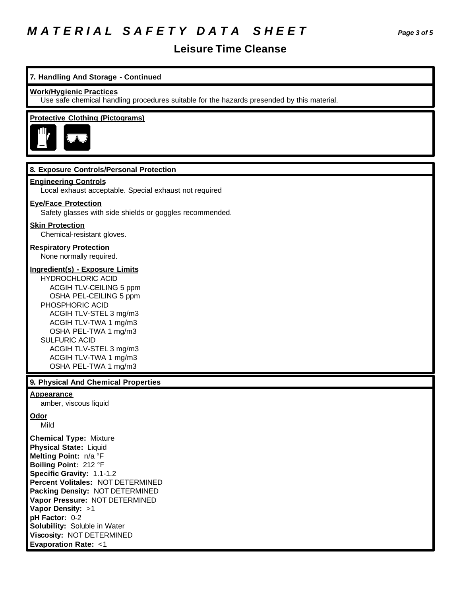# *M A T E R I A L S A F E T Y D A T A S H E E T Page 3 of 5*

# **Leisure Time Cleanse**

# **7. Handling And Storage - Continued**

#### **Work/Hygienic Practices**

Use safe chemical handling procedures suitable for the hazards presended by this material.

## **Protective Clothing (Pictograms)**



## **8. Exposure Controls/Personal Protection**

### **Engineering Controls**

Local exhaust acceptable. Special exhaust not required

### **Eye/Face Protection**

Safety glasses with side shields or goggles recommended.

#### **Skin Protection**

Chemical-resistant gloves.

# **Respiratory Protection**

None normally required.

#### **Ingredient(s) - Exposure Limits**

HYDROCHLORIC ACID ACGIH TLV-CEILING 5 ppm OSHA PEL-CEILING 5 ppm PHOSPHORIC ACID ACGIH TLV-STEL 3 mg/m3 ACGIH TLV-TWA 1 mg/m3 OSHA PEL-TWA 1 mg/m3 SULFURIC ACID ACGIH TLV-STEL 3 mg/m3 ACGIH TLV-TWA 1 mg/m3 OSHA PEL-TWA 1 mg/m3

# **9. Physical And Chemical Properties**

#### **Appearance**

amber, viscous liquid

# **Odor**

Mild

**Chemical Type:** Mixture **Physical State:** Liquid **Melting Point:** n/a °F **Boiling Point:** 212 °F **Specific Gravity:** 1.1-1.2 **Percent Volitales:** NOT DETERMINED **Packing Density:** NOT DETERMINED **Vapor Pressure:** NOT DETERMINED **Vapor Density:** >1 **pH Factor:** 0-2 **Solubility:** Soluble in Water **Viscosity:** NOT DETERMINED **Evaporation Rate:** <1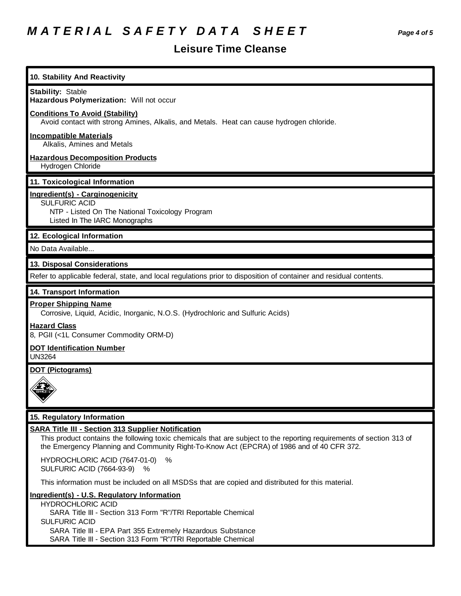# *M A T E R I A L S A F E T Y D A T A S H E E T Page 4 of 5*

# **Leisure Time Cleanse**

| 10. Stability And Reactivity                                                                                                                                                                                                                                                   |
|--------------------------------------------------------------------------------------------------------------------------------------------------------------------------------------------------------------------------------------------------------------------------------|
| <b>Stability: Stable</b><br>Hazardous Polymerization: Will not occur                                                                                                                                                                                                           |
| <b>Conditions To Avoid (Stability)</b><br>Avoid contact with strong Amines, Alkalis, and Metals. Heat can cause hydrogen chloride.                                                                                                                                             |
| <b>Incompatible Materials</b><br>Alkalis, Amines and Metals                                                                                                                                                                                                                    |
| <b>Hazardous Decomposition Products</b><br>Hydrogen Chloride                                                                                                                                                                                                                   |
| 11. Toxicological Information                                                                                                                                                                                                                                                  |
| Ingredient(s) - Carginogenicity<br><b>SULFURIC ACID</b><br>NTP - Listed On The National Toxicology Program<br>Listed In The IARC Monographs                                                                                                                                    |
| 12. Ecological Information                                                                                                                                                                                                                                                     |
| No Data Available                                                                                                                                                                                                                                                              |
| 13. Disposal Considerations                                                                                                                                                                                                                                                    |
| Refer to applicable federal, state, and local regulations prior to disposition of container and residual contents.                                                                                                                                                             |
| 14. Transport Information                                                                                                                                                                                                                                                      |
| <b>Proper Shipping Name</b><br>Corrosive, Liquid, Acidic, Inorganic, N.O.S. (Hydrochloric and Sulfuric Acids)                                                                                                                                                                  |
| <b>Hazard Class</b><br>8, PGII (<1L Consumer Commodity ORM-D)                                                                                                                                                                                                                  |
| <b>DOT Identification Number</b><br><b>UN3264</b>                                                                                                                                                                                                                              |
| <b>DOT (Pictograms)</b>                                                                                                                                                                                                                                                        |
| $\checkmark$                                                                                                                                                                                                                                                                   |
| 15. Regulatory Information                                                                                                                                                                                                                                                     |
| <b>SARA Title III - Section 313 Supplier Notification</b><br>This product contains the following toxic chemicals that are subject to the reporting requirements of section 313 of<br>the Emergency Planning and Community Right-To-Know Act (EPCRA) of 1986 and of 40 CFR 372. |
| HYDROCHLORIC ACID (7647-01-0)<br>%<br><b>SULFURIC ACID (7664-93-9)</b><br>%                                                                                                                                                                                                    |
|                                                                                                                                                                                                                                                                                |
| This information must be included on all MSDSs that are copied and distributed for this material.                                                                                                                                                                              |

HYDROCHLORIC ACID SARA Title III - Section 313 Form "R"/TRI Reportable Chemical SULFURIC ACID SARA Title III - EPA Part 355 Extremely Hazardous Substance SARA Title III - Section 313 Form "R"/TRI Reportable Chemical